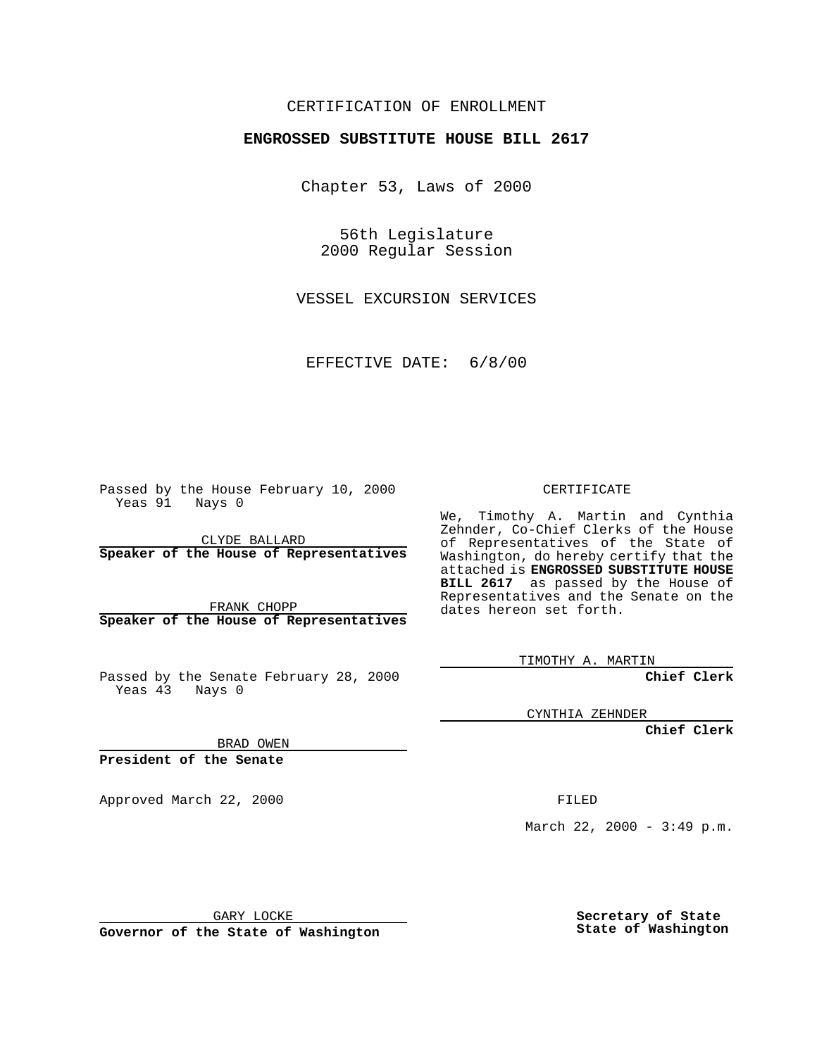### CERTIFICATION OF ENROLLMENT

# **ENGROSSED SUBSTITUTE HOUSE BILL 2617**

Chapter 53, Laws of 2000

56th Legislature 2000 Regular Session

VESSEL EXCURSION SERVICES

EFFECTIVE DATE: 6/8/00

Passed by the House February 10, 2000 Yeas 91 Nays 0

CLYDE BALLARD **Speaker of the House of Representatives**

FRANK CHOPP **Speaker of the House of Representatives**

Passed by the Senate February 28, 2000 Yeas 43 Nays 0

CYNTHIA ZEHNDER

**Chief Clerk**

BRAD OWEN

**President of the Senate**

Approved March 22, 2000 FILED

March 22, 2000 - 3:49 p.m.

GARY LOCKE

**Governor of the State of Washington**

**Secretary of State State of Washington**

### CERTIFICATE

We, Timothy A. Martin and Cynthia Zehnder, Co-Chief Clerks of the House of Representatives of the State of Washington, do hereby certify that the attached is **ENGROSSED SUBSTITUTE HOUSE BILL 2617** as passed by the House of Representatives and the Senate on the dates hereon set forth.

TIMOTHY A. MARTIN

**Chief Clerk**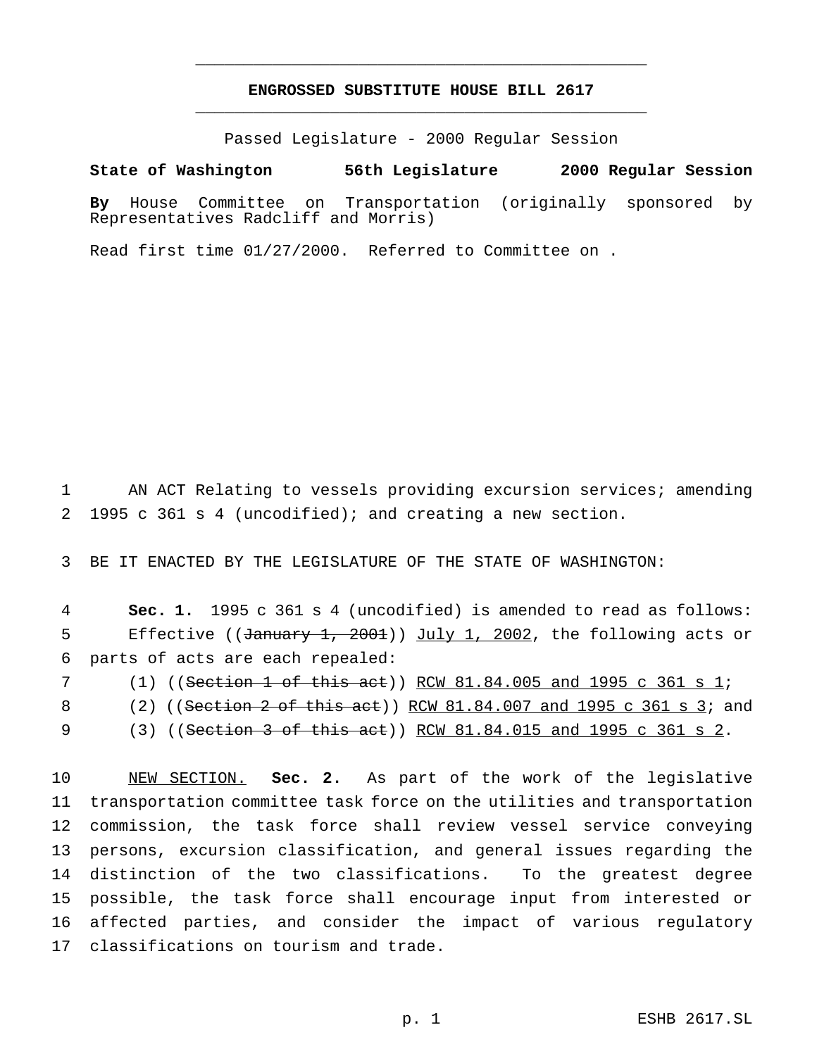# **ENGROSSED SUBSTITUTE HOUSE BILL 2617** \_\_\_\_\_\_\_\_\_\_\_\_\_\_\_\_\_\_\_\_\_\_\_\_\_\_\_\_\_\_\_\_\_\_\_\_\_\_\_\_\_\_\_\_\_\_\_

\_\_\_\_\_\_\_\_\_\_\_\_\_\_\_\_\_\_\_\_\_\_\_\_\_\_\_\_\_\_\_\_\_\_\_\_\_\_\_\_\_\_\_\_\_\_\_

Passed Legislature - 2000 Regular Session

#### **State of Washington 56th Legislature 2000 Regular Session**

**By** House Committee on Transportation (originally sponsored by Representatives Radcliff and Morris)

Read first time 01/27/2000. Referred to Committee on .

 AN ACT Relating to vessels providing excursion services; amending 1995 c 361 s 4 (uncodified); and creating a new section.

BE IT ENACTED BY THE LEGISLATURE OF THE STATE OF WASHINGTON:

 **Sec. 1.** 1995 c 361 s 4 (uncodified) is amended to read as follows: 5 Effective ((January 1, 2001)) July 1, 2002, the following acts or parts of acts are each repealed:

(1) ((Section 1 of this act)) RCW 81.84.005 and 1995 c 361 s 1;

(2) ((Section 2 of this act)) RCW 81.84.007 and 1995 c 361 s 3; and

(3) ((Section 3 of this act)) RCW 81.84.015 and 1995 c 361 s 2.

 NEW SECTION. **Sec. 2.** As part of the work of the legislative transportation committee task force on the utilities and transportation commission, the task force shall review vessel service conveying persons, excursion classification, and general issues regarding the distinction of the two classifications. To the greatest degree possible, the task force shall encourage input from interested or affected parties, and consider the impact of various regulatory classifications on tourism and trade.